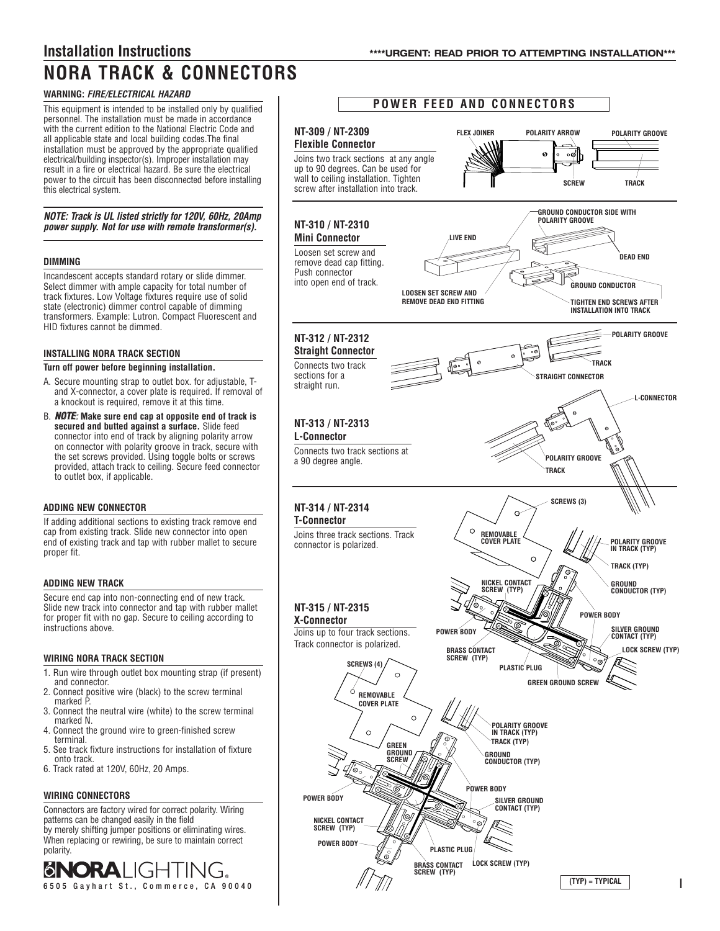# **WARNING:** *FIRE/ELECTRICAL HAZARD*

This equipment is intended to be installed only by qualified personnel. The installation must be made in accordance with the current edition to the National Electric Code and all applicable state and local building codes.The final installation must be approved by the appropriate qualified electrical/building inspector(s). Improper installation may result in a fire or electrical hazard. Be sure the electrical power to the circuit has been disconnected before installing this electrical system.

*NOTE: Track is UL listed strictly for 120V, 60Hz, 20Amp power supply. Not for use with remote transformer(s).*

## **DIMMING**

Incandescent accepts standard rotary or slide dimmer. Select dimmer with ample capacity for total number of track fixtures. Low Voltage fixtures require use of solid state (electronic) dimmer control capable of dimming transformers. Example: Lutron. Compact Fluorescent and HID fixtures cannot be dimmed.

## **INSTALLING NORA TRACK SECTION**

#### **Turn off power before beginning installation.**

- A. Secure mounting strap to outlet box. for adjustable, Tand X-connector, a cover plate is required. If removal of a knockout is required, remove it at this time.
- B. **NOTE**: Make sure end cap at opposite end of track is **secured and butted against a surface.** Slide feed connector into end of track by aligning polarity arrow on connector with polarity groove in track, secure with the set screws provided. Using toggle bolts or screws provided, attach track to ceiling. Secure feed connector to outlet box, if applicable.

# **ADDING NEW CONNECTOR**

If adding additional sections to existing track remove end cap from existing track. Slide new connector into open end of existing track and tap with rubber mallet to secure proper fit.

#### **ADDING NEW TRACK**

Secure end cap into non-connecting end of new track. Slide new track into connector and tap with rubber mallet for proper fit with no gap. Secure to ceiling according to instructions above.

## **WIRING NORA TRACK SECTION**

- 1. Run wire through outlet box mounting strap (if present) and connector.
- 2. Connect positive wire (black) to the screw terminal marked P
- 3. Connect the neutral wire (white) to the screw terminal marked N.
- 4. Connect the ground wire to green-finished screw terminal.
- 5. See track fixture instructions for installation of fixture onto track.
- 6. Track rated at 120V, 60Hz, 20 Amps.

#### **WIRING CONNECTORS**

Connectors are factory wired for correct polarity. Wiring patterns can be changed easily in the field by merely shifting jumper positions or eliminating wires. When replacing or rewiring, be sure to maintain correct polarity.